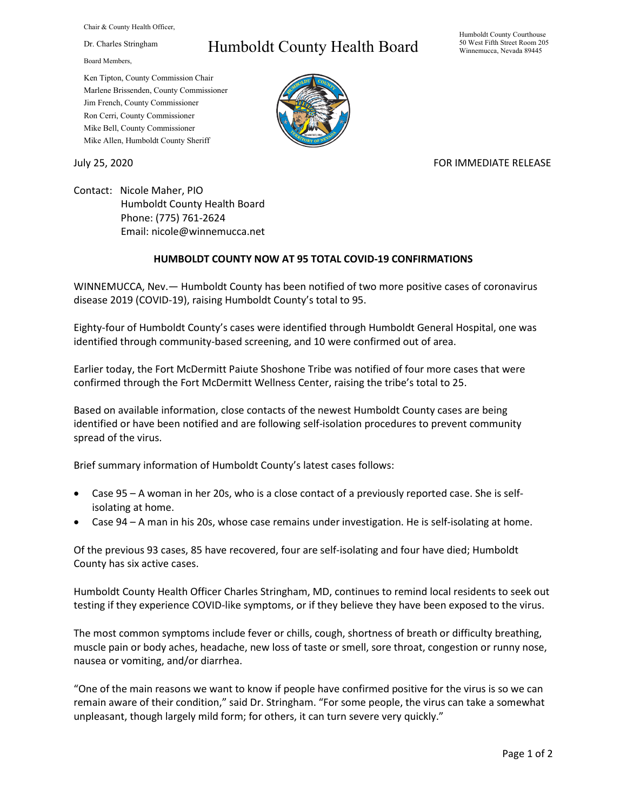Chair & County Health Officer,

Dr. Charles Stringham

Board Members,

## Humboldt County Health Board

Humboldt County Courthouse 50 West Fifth Street Room 205 Winnemucca, Nevada 89445

Ken Tipton, County Commission Chair Marlene Brissenden, County Commissioner Jim French, County Commissioner Ron Cerri, County Commissioner Mike Bell, County Commissioner Mike Allen, Humboldt County Sheriff

## July 25, 2020 FOR IMMEDIATE RELEASE

Contact: Nicole Maher, PIO Humboldt County Health Board Phone: (775) 761-2624 Email: nicole@winnemucca.net

## **HUMBOLDT COUNTY NOW AT 95 TOTAL COVID-19 CONFIRMATIONS**

WINNEMUCCA, Nev.— Humboldt County has been notified of two more positive cases of coronavirus disease 2019 (COVID-19), raising Humboldt County's total to 95.

Eighty-four of Humboldt County's cases were identified through Humboldt General Hospital, one was identified through community-based screening, and 10 were confirmed out of area.

Earlier today, the Fort McDermitt Paiute Shoshone Tribe was notified of four more cases that were confirmed through the Fort McDermitt Wellness Center, raising the tribe's total to 25.

Based on available information, close contacts of the newest Humboldt County cases are being identified or have been notified and are following self-isolation procedures to prevent community spread of the virus.

Brief summary information of Humboldt County's latest cases follows:

- Case 95 A woman in her 20s, who is a close contact of a previously reported case. She is selfisolating at home.
- Case 94 A man in his 20s, whose case remains under investigation. He is self-isolating at home.

Of the previous 93 cases, 85 have recovered, four are self-isolating and four have died; Humboldt County has six active cases.

Humboldt County Health Officer Charles Stringham, MD, continues to remind local residents to seek out testing if they experience COVID-like symptoms, or if they believe they have been exposed to the virus.

The most common symptoms include fever or chills, cough, shortness of breath or difficulty breathing, muscle pain or body aches, headache, new loss of taste or smell, sore throat, congestion or runny nose, nausea or vomiting, and/or diarrhea.

"One of the main reasons we want to know if people have confirmed positive for the virus is so we can remain aware of their condition," said Dr. Stringham. "For some people, the virus can take a somewhat unpleasant, though largely mild form; for others, it can turn severe very quickly."